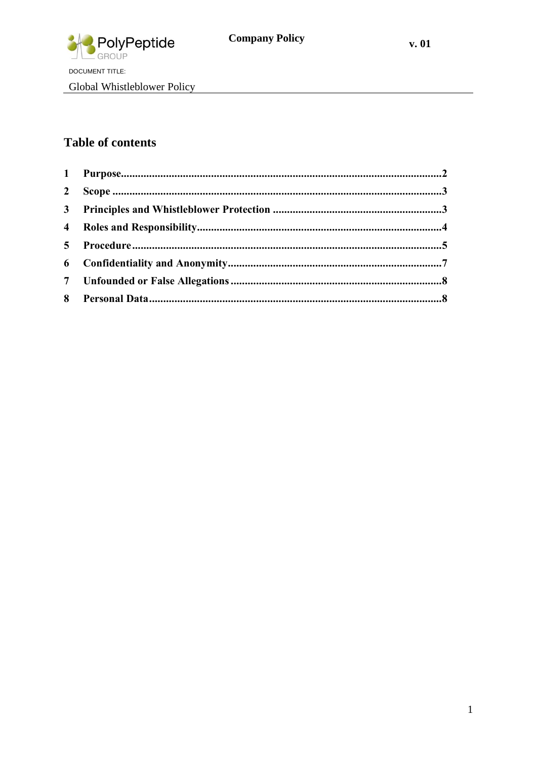

Global Whistleblower Policy

# **Table of contents**

| $\overline{2}$ |  |
|----------------|--|
|                |  |
|                |  |
|                |  |
|                |  |
|                |  |
|                |  |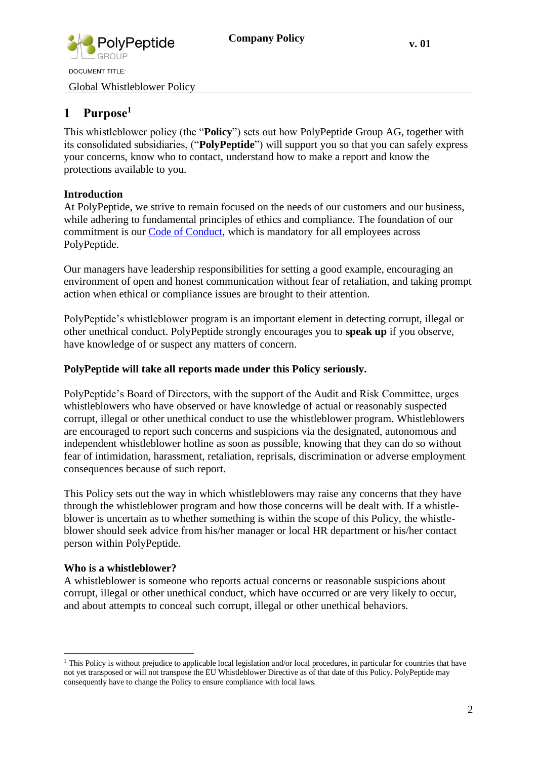

Global Whistleblower Policy

## <span id="page-1-0"></span>**1 Purpose<sup>1</sup>**

This whistleblower policy (the "**Policy**") sets out how PolyPeptide Group AG, together with its consolidated subsidiaries, ("**PolyPeptide**") will support you so that you can safely express your concerns, know who to contact, understand how to make a report and know the protections available to you.

#### **Introduction**

At PolyPeptide, we strive to remain focused on the needs of our customers and our business, while adhering to fundamental principles of ethics and compliance. The foundation of our commitment is our Code of Conduct, which is mandatory for all employees across PolyPeptide.

Our managers have leadership responsibilities for setting a good example, encouraging an environment of open and honest communication without fear of retaliation, and taking prompt action when ethical or compliance issues are brought to their attention.

PolyPeptide's whistleblower program is an important element in detecting corrupt, illegal or other unethical conduct. PolyPeptide strongly encourages you to **speak up** if you observe, have knowledge of or suspect any matters of concern.

#### **PolyPeptide will take all reports made under this Policy seriously.**

PolyPeptide's Board of Directors, with the support of the Audit and Risk Committee, urges whistleblowers who have observed or have knowledge of actual or reasonably suspected corrupt, illegal or other unethical conduct to use the whistleblower program. Whistleblowers are encouraged to report such concerns and suspicions via the designated, autonomous and independent whistleblower hotline as soon as possible, knowing that they can do so without fear of intimidation, harassment, retaliation, reprisals, discrimination or adverse employment consequences because of such report.

This Policy sets out the way in which whistleblowers may raise any concerns that they have through the whistleblower program and how those concerns will be dealt with. If a whistleblower is uncertain as to whether something is within the scope of this Policy, the whistleblower should seek advice from his/her manager or local HR department or his/her contact person within PolyPeptide.

#### **Who is a whistleblower?**

A whistleblower is someone who reports actual concerns or reasonable suspicions about corrupt, illegal or other unethical conduct, which have occurred or are very likely to occur, and about attempts to conceal such corrupt, illegal or other unethical behaviors.

<sup>&</sup>lt;sup>1</sup> This Policy is without prejudice to applicable local legislation and/or local procedures, in particular for countries that have not yet transposed or will not transpose the EU Whistleblower Directive as of that date of this Policy. PolyPeptide may consequently have to change the Policy to ensure compliance with local laws.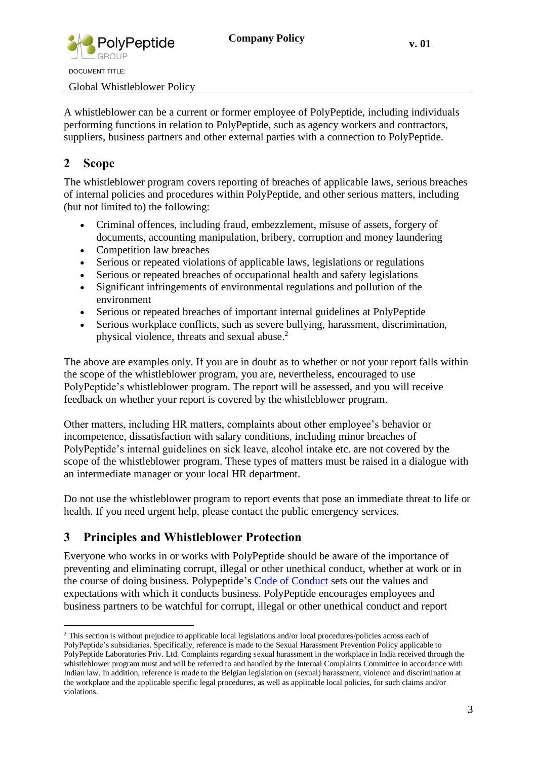

Global Whistleblower Policy

A whistleblower can be a current or former employee of PolyPeptide, including individuals performing functions in relation to PolyPeptide, such as agency workers and contractors, suppliers, business partners and other external parties with a connection to PolyPeptide.

## <span id="page-2-0"></span>**2 Scope**

The whistleblower program covers reporting of breaches of applicable laws, serious breaches of internal policies and procedures within PolyPeptide, and other serious matters, including (but not limited to) the following:

- Criminal offences, including fraud, embezzlement, misuse of assets, forgery of documents, accounting manipulation, bribery, corruption and money laundering
- Competition law breaches
- Serious or repeated violations of applicable laws, legislations or regulations
- Serious or repeated breaches of occupational health and safety legislations
- Significant infringements of environmental regulations and pollution of the environment
- Serious or repeated breaches of important internal guidelines at PolyPeptide
- Serious workplace conflicts, such as severe bullying, harassment, discrimination, physical violence, threats and sexual abuse. 2

The above are examples only. If you are in doubt as to whether or not your report falls within the scope of the whistleblower program, you are, nevertheless, encouraged to use PolyPeptide's whistleblower program. The report will be assessed, and you will receive feedback on whether your report is covered by the whistleblower program.

Other matters, including HR matters, complaints about other employee's behavior or incompetence, dissatisfaction with salary conditions, including minor breaches of PolyPeptide's internal guidelines on sick leave, alcohol intake etc. are not covered by the scope of the whistleblower program. These types of matters must be raised in a dialogue with an intermediate manager or your local HR department.

Do not use the whistleblower program to report events that pose an immediate threat to life or health. If you need urgent help, please contact the public emergency services.

## <span id="page-2-1"></span>**3 Principles and Whistleblower Protection**

Everyone who works in or works with PolyPeptide should be aware of the importance of preventing and eliminating corrupt, illegal or other unethical conduct, whether at work or in the course of doing business. Polypeptide's Code of Conduct sets out the values and expectations with which it conducts business. PolyPeptide encourages employees and business partners to be watchful for corrupt, illegal or other unethical conduct and report

<sup>&</sup>lt;sup>2</sup> This section is without prejudice to applicable local legislations and/or local procedures/policies across each of PolyPeptide's subsidiaries. Specifically, reference is made to the Sexual Harassment Prevention Policy applicable to PolyPeptide Laboratories Priv. Ltd. Complaints regarding sexual harassment in the workplace in India received through the whistleblower program must and will be referred to and handled by the Internal Complaints Committee in accordance with Indian law. In addition, reference is made to the Belgian legislation on (sexual) harassment, violence and discrimination at the workplace and the applicable specific legal procedures, as well as applicable local policies, for such claims and/or violations.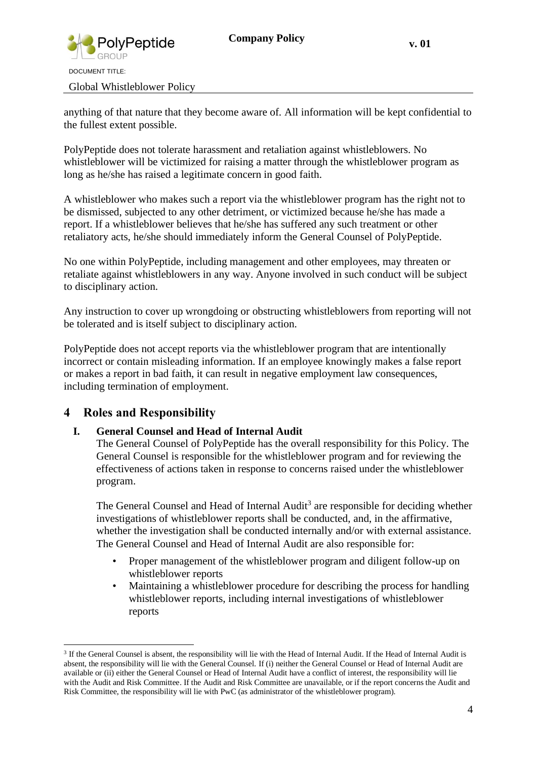

Global Whistleblower Policy

anything of that nature that they become aware of. All information will be kept confidential to the fullest extent possible.

PolyPeptide does not tolerate harassment and retaliation against whistleblowers. No whistleblower will be victimized for raising a matter through the whistleblower program as long as he/she has raised a legitimate concern in good faith.

A whistleblower who makes such a report via the whistleblower program has the right not to be dismissed, subjected to any other detriment, or victimized because he/she has made a report. If a whistleblower believes that he/she has suffered any such treatment or other retaliatory acts, he/she should immediately inform the General Counsel of PolyPeptide.

No one within PolyPeptide, including management and other employees, may threaten or retaliate against whistleblowers in any way. Anyone involved in such conduct will be subject to disciplinary action.

Any instruction to cover up wrongdoing or obstructing whistleblowers from reporting will not be tolerated and is itself subject to disciplinary action.

PolyPeptide does not accept reports via the whistleblower program that are intentionally incorrect or contain misleading information. If an employee knowingly makes a false report or makes a report in bad faith, it can result in negative employment law consequences, including termination of employment.

### <span id="page-3-0"></span>**4 Roles and Responsibility**

#### **I. General Counsel and Head of Internal Audit**

The General Counsel of PolyPeptide has the overall responsibility for this Policy. The General Counsel is responsible for the whistleblower program and for reviewing the effectiveness of actions taken in response to concerns raised under the whistleblower program.

The General Counsel and Head of Internal  $\text{Audit}^3$  are responsible for deciding whether investigations of whistleblower reports shall be conducted, and, in the affirmative, whether the investigation shall be conducted internally and/or with external assistance. The General Counsel and Head of Internal Audit are also responsible for:

- Proper management of the whistleblower program and diligent follow-up on whistleblower reports
- Maintaining a whistleblower procedure for describing the process for handling whistleblower reports, including internal investigations of whistleblower reports

<sup>&</sup>lt;sup>3</sup> If the General Counsel is absent, the responsibility will lie with the Head of Internal Audit. If the Head of Internal Audit is absent, the responsibility will lie with the General Counsel. If (i) neither the General Counsel or Head of Internal Audit are available or (ii) either the General Counsel or Head of Internal Audit have a conflict of interest, the responsibility will lie with the Audit and Risk Committee. If the Audit and Risk Committee are unavailable, or if the report concerns the Audit and Risk Committee, the responsibility will lie with PwC (as administrator of the whistleblower program).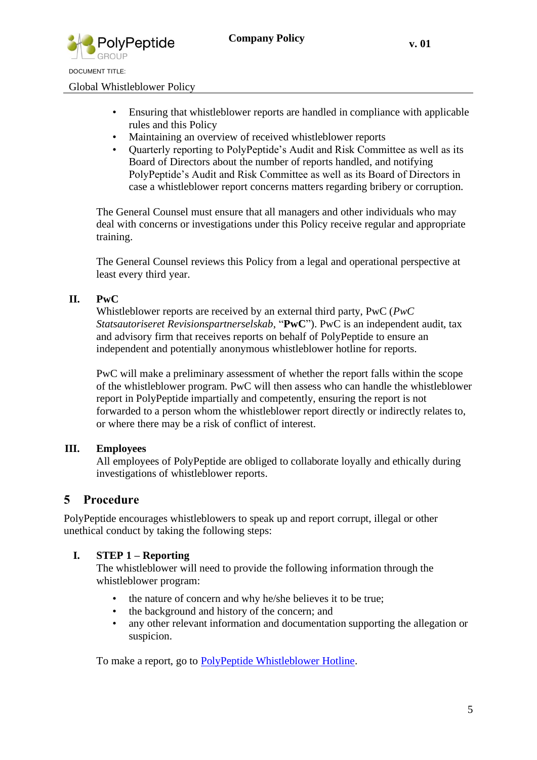

Global Whistleblower Policy

- Ensuring that whistleblower reports are handled in compliance with applicable rules and this Policy
- Maintaining an overview of received whistleblower reports
- Quarterly reporting to PolyPeptide's Audit and Risk Committee as well as its Board of Directors about the number of reports handled, and notifying PolyPeptide's Audit and Risk Committee as well as its Board of Directors in case a whistleblower report concerns matters regarding bribery or corruption.

The General Counsel must ensure that all managers and other individuals who may deal with concerns or investigations under this Policy receive regular and appropriate training.

The General Counsel reviews this Policy from a legal and operational perspective at least every third year.

#### **II. PwC**

Whistleblower reports are received by an external third party, PwC (*PwC Statsautoriseret Revisionspartnerselskab*, "**PwC**"). PwC is an independent audit, tax and advisory firm that receives reports on behalf of PolyPeptide to ensure an independent and potentially anonymous whistleblower hotline for reports.

PwC will make a preliminary assessment of whether the report falls within the scope of the whistleblower program. PwC will then assess who can handle the whistleblower report in PolyPeptide impartially and competently, ensuring the report is not forwarded to a person whom the whistleblower report directly or indirectly relates to, or where there may be a risk of conflict of interest.

#### **III. Employees**

All employees of PolyPeptide are obliged to collaborate loyally and ethically during investigations of whistleblower reports.

#### <span id="page-4-0"></span>**5 Procedure**

PolyPeptide encourages whistleblowers to speak up and report corrupt, illegal or other unethical conduct by taking the following steps:

#### **I. STEP 1 – Reporting**

The whistleblower will need to provide the following information through the whistleblower program:

- the nature of concern and why he/she believes it to be true;
- the background and history of the concern; and
- any other relevant information and documentation supporting the allegation or suspicion.

To make a report, go to [PolyPeptide Whistleblower Hotline.](https://whistleblowersoftware.com/secure/94d7bf1c-1e11-43bb-bfe4-d669a2a6c8ed)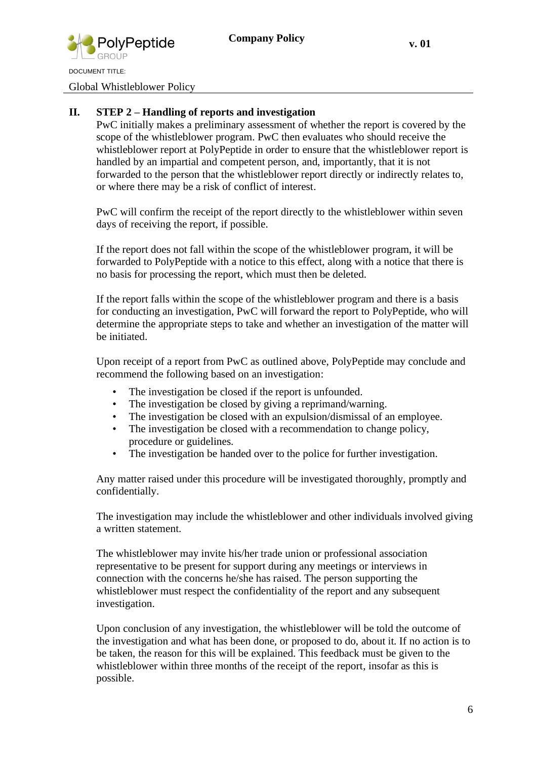

Global Whistleblower Policy

#### **II. STEP 2 – Handling of reports and investigation**

PwC initially makes a preliminary assessment of whether the report is covered by the scope of the whistleblower program. PwC then evaluates who should receive the whistleblower report at PolyPeptide in order to ensure that the whistleblower report is handled by an impartial and competent person, and, importantly, that it is not forwarded to the person that the whistleblower report directly or indirectly relates to, or where there may be a risk of conflict of interest.

PwC will confirm the receipt of the report directly to the whistleblower within seven days of receiving the report, if possible.

If the report does not fall within the scope of the whistleblower program, it will be forwarded to PolyPeptide with a notice to this effect, along with a notice that there is no basis for processing the report, which must then be deleted.

If the report falls within the scope of the whistleblower program and there is a basis for conducting an investigation, PwC will forward the report to PolyPeptide, who will determine the appropriate steps to take and whether an investigation of the matter will be initiated.

Upon receipt of a report from PwC as outlined above, PolyPeptide may conclude and recommend the following based on an investigation:

- The investigation be closed if the report is unfounded.
- The investigation be closed by giving a reprimand/warning.
- The investigation be closed with an expulsion/dismissal of an employee.
- The investigation be closed with a recommendation to change policy, procedure or guidelines.
- The investigation be handed over to the police for further investigation.

Any matter raised under this procedure will be investigated thoroughly, promptly and confidentially.

The investigation may include the whistleblower and other individuals involved giving a written statement.

The whistleblower may invite his/her trade union or professional association representative to be present for support during any meetings or interviews in connection with the concerns he/she has raised. The person supporting the whistleblower must respect the confidentiality of the report and any subsequent investigation.

Upon conclusion of any investigation, the whistleblower will be told the outcome of the investigation and what has been done, or proposed to do, about it. If no action is to be taken, the reason for this will be explained. This feedback must be given to the whistleblower within three months of the receipt of the report, insofar as this is possible.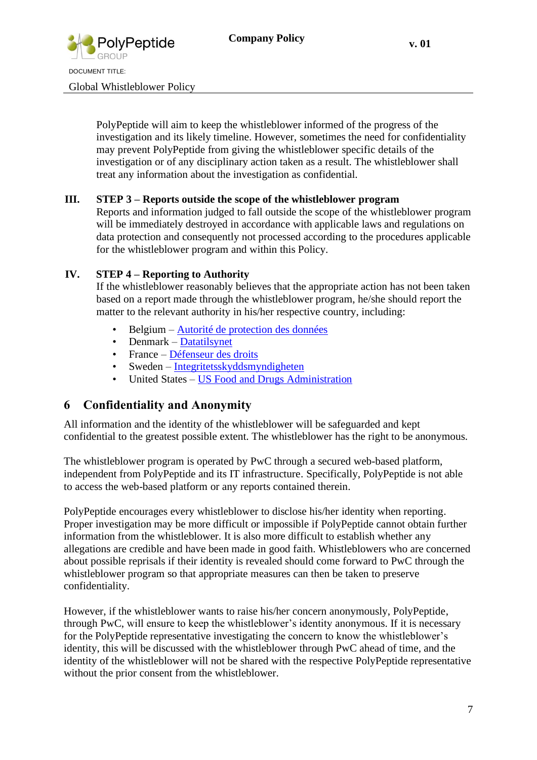

Global Whistleblower Policy

PolyPeptide will aim to keep the whistleblower informed of the progress of the investigation and its likely timeline. However, sometimes the need for confidentiality may prevent PolyPeptide from giving the whistleblower specific details of the investigation or of any disciplinary action taken as a result. The whistleblower shall treat any information about the investigation as confidential.

#### **III. STEP 3 – Reports outside the scope of the whistleblower program**

Reports and information judged to fall outside the scope of the whistleblower program will be immediately destroyed in accordance with applicable laws and regulations on data protection and consequently not processed according to the procedures applicable for the whistleblower program and within this Policy.

#### **IV. STEP 4 – Reporting to Authority**

If the whistleblower reasonably believes that the appropriate action has not been taken based on a report made through the whistleblower program, he/she should report the matter to the relevant authority in his/her respective country, including:

- Belgium Autorité de protection des données
- Denmark Datatilsynet
- France Défenseur des droits
- Sweden Integritetsskyddsmyndigheten
- United States US Food and Drugs Administration

### <span id="page-6-0"></span>**6 Confidentiality and Anonymity**

All information and the identity of the whistleblower will be safeguarded and kept confidential to the greatest possible extent. The whistleblower has the right to be anonymous.

The whistleblower program is operated by PwC through a secured web-based platform, independent from PolyPeptide and its IT infrastructure. Specifically, PolyPeptide is not able to access the web-based platform or any reports contained therein.

PolyPeptide encourages every whistleblower to disclose his/her identity when reporting. Proper investigation may be more difficult or impossible if PolyPeptide cannot obtain further information from the whistleblower. It is also more difficult to establish whether any allegations are credible and have been made in good faith. Whistleblowers who are concerned about possible reprisals if their identity is revealed should come forward to PwC through the whistleblower program so that appropriate measures can then be taken to preserve confidentiality.

However, if the whistleblower wants to raise his/her concern anonymously, PolyPeptide, through PwC, will ensure to keep the whistleblower's identity anonymous. If it is necessary for the PolyPeptide representative investigating the concern to know the whistleblower's identity, this will be discussed with the whistleblower through PwC ahead of time, and the identity of the whistleblower will not be shared with the respective PolyPeptide representative without the prior consent from the whistleblower.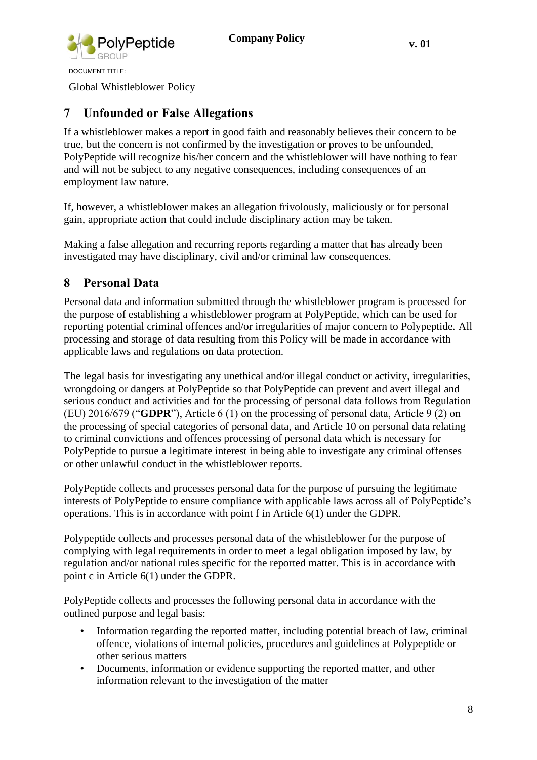

DOCUMENT TITLE: Global Whistleblower Policy

<span id="page-7-0"></span>**7 Unfounded or False Allegations**

If a whistleblower makes a report in good faith and reasonably believes their concern to be true, but the concern is not confirmed by the investigation or proves to be unfounded, PolyPeptide will recognize his/her concern and the whistleblower will have nothing to fear and will not be subject to any negative consequences, including consequences of an employment law nature.

If, however, a whistleblower makes an allegation frivolously, maliciously or for personal gain, appropriate action that could include disciplinary action may be taken.

Making a false allegation and recurring reports regarding a matter that has already been investigated may have disciplinary, civil and/or criminal law consequences.

# <span id="page-7-1"></span>**8 Personal Data**

Personal data and information submitted through the whistleblower program is processed for the purpose of establishing a whistleblower program at PolyPeptide, which can be used for reporting potential criminal offences and/or irregularities of major concern to Polypeptide. All processing and storage of data resulting from this Policy will be made in accordance with applicable laws and regulations on data protection.

The legal basis for investigating any unethical and/or illegal conduct or activity, irregularities, wrongdoing or dangers at PolyPeptide so that PolyPeptide can prevent and avert illegal and serious conduct and activities and for the processing of personal data follows from Regulation (EU) 2016/679 ("**GDPR**"), Article 6 (1) on the processing of personal data, Article 9 (2) on the processing of special categories of personal data, and Article 10 on personal data relating to criminal convictions and offences processing of personal data which is necessary for PolyPeptide to pursue a legitimate interest in being able to investigate any criminal offenses or other unlawful conduct in the whistleblower reports.

PolyPeptide collects and processes personal data for the purpose of pursuing the legitimate interests of PolyPeptide to ensure compliance with applicable laws across all of PolyPeptide's operations. This is in accordance with point f in Article 6(1) under the GDPR.

Polypeptide collects and processes personal data of the whistleblower for the purpose of complying with legal requirements in order to meet a legal obligation imposed by law, by regulation and/or national rules specific for the reported matter. This is in accordance with point c in Article 6(1) under the GDPR.

PolyPeptide collects and processes the following personal data in accordance with the outlined purpose and legal basis:

- Information regarding the reported matter, including potential breach of law, criminal offence, violations of internal policies, procedures and guidelines at Polypeptide or other serious matters
- Documents, information or evidence supporting the reported matter, and other information relevant to the investigation of the matter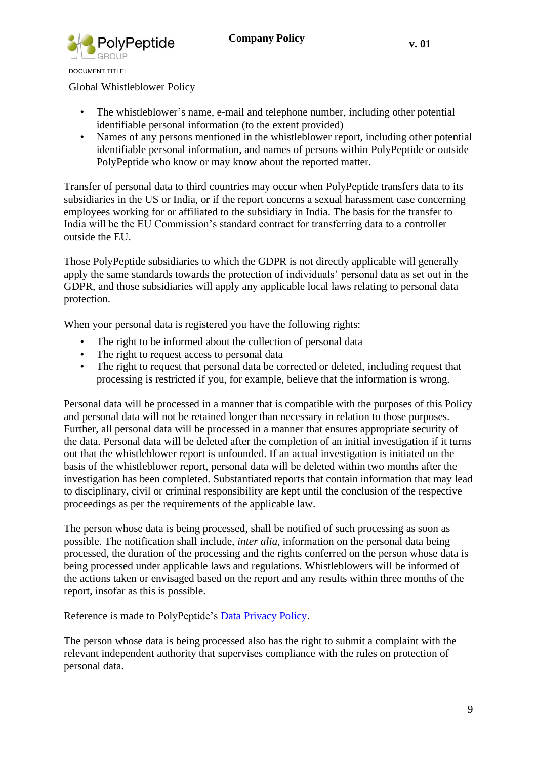

Global Whistleblower Policy

- The whistleblower's name, e-mail and telephone number, including other potential identifiable personal information (to the extent provided)
- Names of any persons mentioned in the whistleblower report, including other potential identifiable personal information, and names of persons within PolyPeptide or outside PolyPeptide who know or may know about the reported matter.

Transfer of personal data to third countries may occur when PolyPeptide transfers data to its subsidiaries in the US or India, or if the report concerns a sexual harassment case concerning employees working for or affiliated to the subsidiary in India. The basis for the transfer to India will be the EU Commission's standard contract for transferring data to a controller outside the EU.

Those PolyPeptide subsidiaries to which the GDPR is not directly applicable will generally apply the same standards towards the protection of individuals' personal data as set out in the GDPR, and those subsidiaries will apply any applicable local laws relating to personal data protection.

When your personal data is registered you have the following rights:

- The right to be informed about the collection of personal data
- The right to request access to personal data
- The right to request that personal data be corrected or deleted, including request that processing is restricted if you, for example, believe that the information is wrong.

Personal data will be processed in a manner that is compatible with the purposes of this Policy and personal data will not be retained longer than necessary in relation to those purposes. Further, all personal data will be processed in a manner that ensures appropriate security of the data. Personal data will be deleted after the completion of an initial investigation if it turns out that the whistleblower report is unfounded. If an actual investigation is initiated on the basis of the whistleblower report, personal data will be deleted within two months after the investigation has been completed. Substantiated reports that contain information that may lead to disciplinary, civil or criminal responsibility are kept until the conclusion of the respective proceedings as per the requirements of the applicable law.

The person whose data is being processed, shall be notified of such processing as soon as possible. The notification shall include, *inter alia*, information on the personal data being processed, the duration of the processing and the rights conferred on the person whose data is being processed under applicable laws and regulations. Whistleblowers will be informed of the actions taken or envisaged based on the report and any results within three months of the report, insofar as this is possible.

Reference is made to PolyPeptide's **Data Privacy Policy**.

The person whose data is being processed also has the right to submit a complaint with the relevant independent authority that supervises compliance with the rules on protection of personal data.